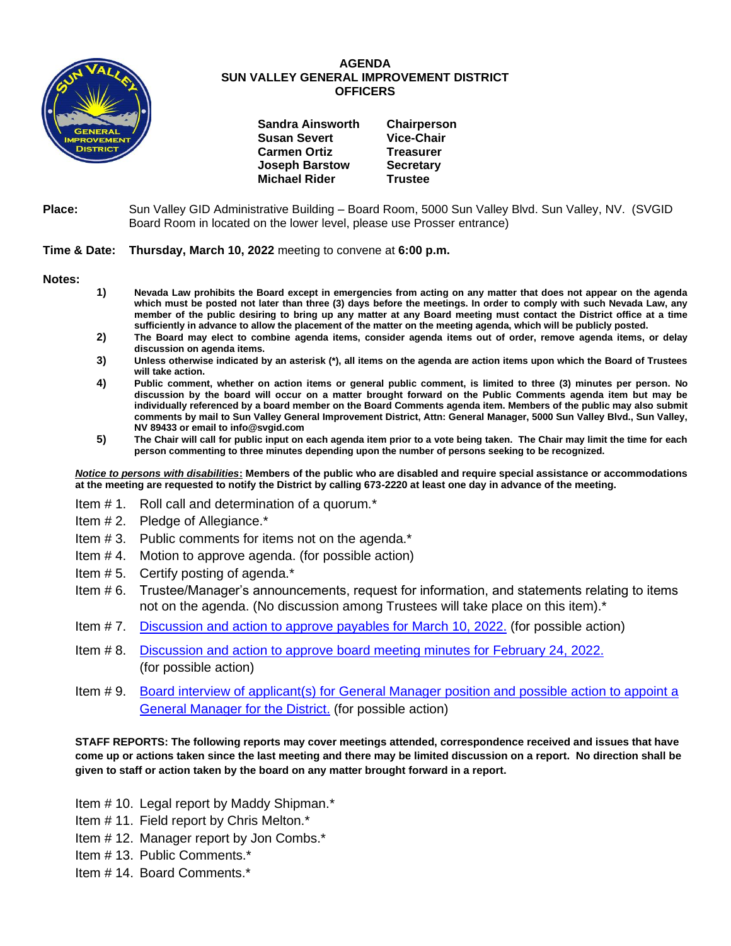

## **AGENDA SUN VALLEY GENERAL IMPROVEMENT DISTRICT OFFICERS**

| <b>Sandra Ainsworth</b> | Chairperson       |
|-------------------------|-------------------|
| <b>Susan Severt</b>     | <b>Vice-Chair</b> |
| <b>Carmen Ortiz</b>     | <b>Treasurer</b>  |
| <b>Joseph Barstow</b>   | <b>Secretary</b>  |
| <b>Michael Rider</b>    | <b>Trustee</b>    |
|                         |                   |

**Place:** Sun Valley GID Administrative Building – Board Room, 5000 Sun Valley Blvd. Sun Valley, NV. (SVGID Board Room in located on the lower level, please use Prosser entrance)

## **Time & Date: Thursday, March 10, 2022** meeting to convene at **6:00 p.m.**

**Notes:**

- **1) Nevada Law prohibits the Board except in emergencies from acting on any matter that does not appear on the agenda which must be posted not later than three (3) days before the meetings. In order to comply with such Nevada Law, any member of the public desiring to bring up any matter at any Board meeting must contact the District office at a time sufficiently in advance to allow the placement of the matter on the meeting agenda, which will be publicly posted.**
- **2) The Board may elect to combine agenda items, consider agenda items out of order, remove agenda items, or delay discussion on agenda items.**
- **3) Unless otherwise indicated by an asterisk (\*), all items on the agenda are action items upon which the Board of Trustees will take action.**
- **4) Public comment, whether on action items or general public comment, is limited to three (3) minutes per person. No discussion by the board will occur on a matter brought forward on the Public Comments agenda item but may be individually referenced by a board member on the Board Comments agenda item. Members of the public may also submit comments by mail to Sun Valley General Improvement District, Attn: General Manager, 5000 Sun Valley Blvd., Sun Valley, NV 89433 or email to info@svgid.com**
- **5) The Chair will call for public input on each agenda item prior to a vote being taken. The Chair may limit the time for each person commenting to three minutes depending upon the number of persons seeking to be recognized.**

*Notice to persons with disabilities***: Members of the public who are disabled and require special assistance or accommodations at the meeting are requested to notify the District by calling 673-2220 at least one day in advance of the meeting.**

- Item # 1. Roll call and determination of a quorum.\*
- Item # 2. Pledge of Allegiance.\*
- Item # 3. Public comments for items not on the agenda.\*
- Item # 4. Motion to approve agenda. (for possible action)
- Item # 5. Certify posting of agenda.\*
- Item # 6. Trustee/Manager's announcements, request for information, and statements relating to items not on the agenda. (No discussion among Trustees will take place on this item).\*
- Item # 7. [Discussion and action to approve payables](https://www.svgid.com/wp-content/uploads/031022_AgendaItem07.pdf) for March 10, 2022. (for possible action)
- Item # 8. [Discussion and action to approve board meeting minutes for](https://www.svgid.com/wp-content/uploads/031022_AgendaItem08.pdf) February 24, 2022. (for possible action)
- Item # 9. [Board interview of applicant\(s\) for General Manager position and possible action to appoint a](https://www.svgid.com/wp-content/uploads/031022_AgendaItem09.pdf)  **[General Manager for the District.](https://www.svgid.com/wp-content/uploads/031022_AgendaItem09.pdf)** (for possible action)

**STAFF REPORTS: The following reports may cover meetings attended, correspondence received and issues that have come up or actions taken since the last meeting and there may be limited discussion on a report. No direction shall be given to staff or action taken by the board on any matter brought forward in a report.**

Item # 10. Legal report by Maddy Shipman.\*

- Item # 11. Field report by Chris Melton.\*
- Item # 12. Manager report by Jon Combs.\*
- Item # 13. Public Comments.\*
- Item # 14. Board Comments.\*